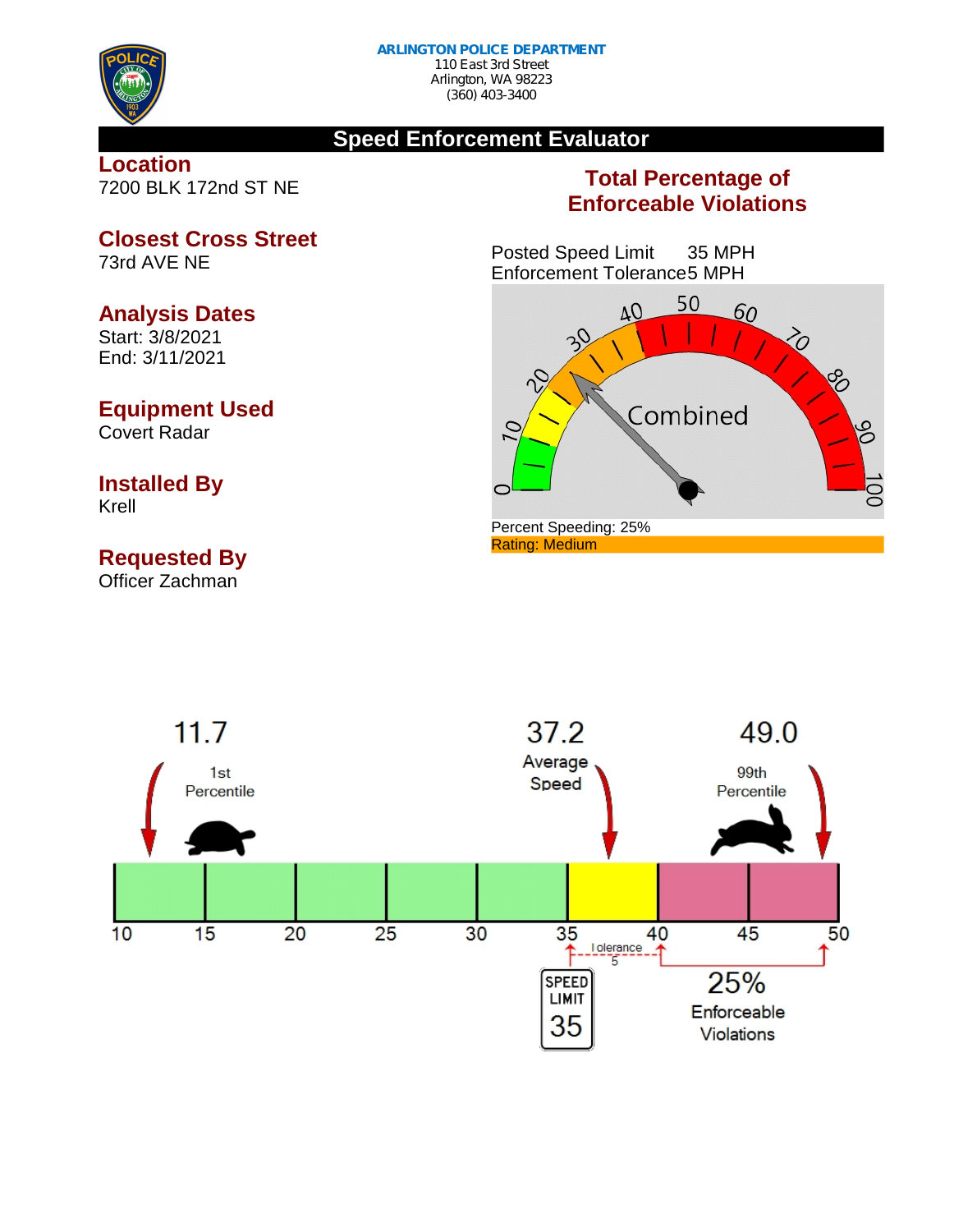

### **Speed Enforcement Evaluator**

### **Location** 7200 BLK 172nd ST NE

**Closest Cross Street**

## **Total Percentage of Enforceable Violations**

Posted Speed Limit 35 MPH Enforcement Tolerance5 MPH





Start: 3/8/2021 End: 3/11/2021

73rd AVE NE

# **Equipment Used**

Covert Radar

#### **Installed By** Krell

# **Requested By**

Officer Zachman